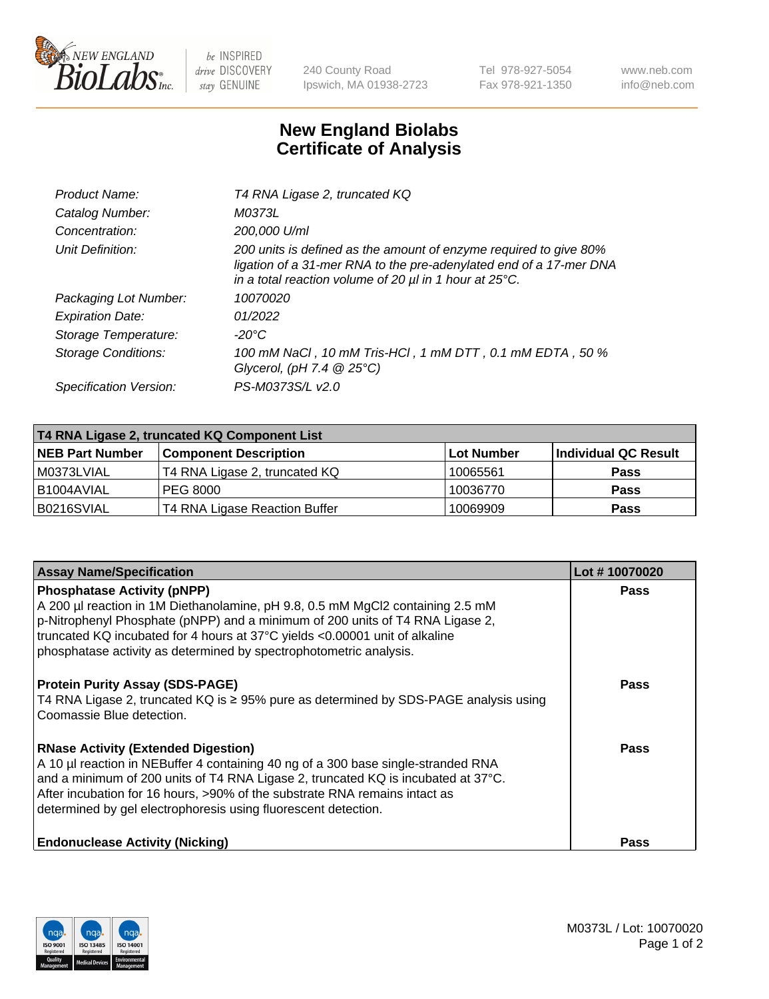

 $be$  INSPIRED drive DISCOVERY stay GENUINE

240 County Road Ipswich, MA 01938-2723 Tel 978-927-5054 Fax 978-921-1350 www.neb.com info@neb.com

## **New England Biolabs Certificate of Analysis**

| Product Name:              | T4 RNA Ligase 2, truncated KQ                                                                                                                                                                                    |
|----------------------------|------------------------------------------------------------------------------------------------------------------------------------------------------------------------------------------------------------------|
| Catalog Number:            | M0373L                                                                                                                                                                                                           |
| Concentration:             | 200,000 U/ml                                                                                                                                                                                                     |
| Unit Definition:           | 200 units is defined as the amount of enzyme required to give 80%<br>ligation of a 31-mer RNA to the pre-adenylated end of a 17-mer DNA<br>in a total reaction volume of 20 $\mu$ l in 1 hour at 25 $\degree$ C. |
| Packaging Lot Number:      | 10070020                                                                                                                                                                                                         |
| <b>Expiration Date:</b>    | 01/2022                                                                                                                                                                                                          |
| Storage Temperature:       | $-20^{\circ}$ C                                                                                                                                                                                                  |
| <b>Storage Conditions:</b> | 100 mM NaCl, 10 mM Tris-HCl, 1 mM DTT, 0.1 mM EDTA, 50 %<br>Glycerol, (pH 7.4 $@25°C$ )                                                                                                                          |
| Specification Version:     | PS-M0373S/L v2.0                                                                                                                                                                                                 |

| T4 RNA Ligase 2, truncated KQ Component List |                               |            |                      |  |  |
|----------------------------------------------|-------------------------------|------------|----------------------|--|--|
| <b>NEB Part Number</b>                       | <b>Component Description</b>  | Lot Number | Individual QC Result |  |  |
| l M0373LVIAL                                 | T4 RNA Ligase 2, truncated KQ | 10065561   | <b>Pass</b>          |  |  |
| B1004AVIAL                                   | IPEG 8000                     | 10036770   | <b>Pass</b>          |  |  |
| B0216SVIAL                                   | T4 RNA Ligase Reaction Buffer | 10069909   | <b>Pass</b>          |  |  |

| <b>Assay Name/Specification</b>                                                                                                                                                                                                                                                                                                                                      | Lot #10070020 |
|----------------------------------------------------------------------------------------------------------------------------------------------------------------------------------------------------------------------------------------------------------------------------------------------------------------------------------------------------------------------|---------------|
| <b>Phosphatase Activity (pNPP)</b><br>A 200 µl reaction in 1M Diethanolamine, pH 9.8, 0.5 mM MgCl2 containing 2.5 mM<br>p-Nitrophenyl Phosphate (pNPP) and a minimum of 200 units of T4 RNA Ligase 2,<br>truncated KQ incubated for 4 hours at 37°C yields <0.00001 unit of alkaline<br>phosphatase activity as determined by spectrophotometric analysis.           | <b>Pass</b>   |
| <b>Protein Purity Assay (SDS-PAGE)</b><br>T4 RNA Ligase 2, truncated KQ is $\ge$ 95% pure as determined by SDS-PAGE analysis using<br>Coomassie Blue detection.                                                                                                                                                                                                      | <b>Pass</b>   |
| <b>RNase Activity (Extended Digestion)</b><br>A 10 µl reaction in NEBuffer 4 containing 40 ng of a 300 base single-stranded RNA<br>and a minimum of 200 units of T4 RNA Ligase 2, truncated KQ is incubated at 37°C.<br>After incubation for 16 hours, >90% of the substrate RNA remains intact as<br>determined by gel electrophoresis using fluorescent detection. | Pass          |
| <b>Endonuclease Activity (Nicking)</b>                                                                                                                                                                                                                                                                                                                               | <b>Pass</b>   |